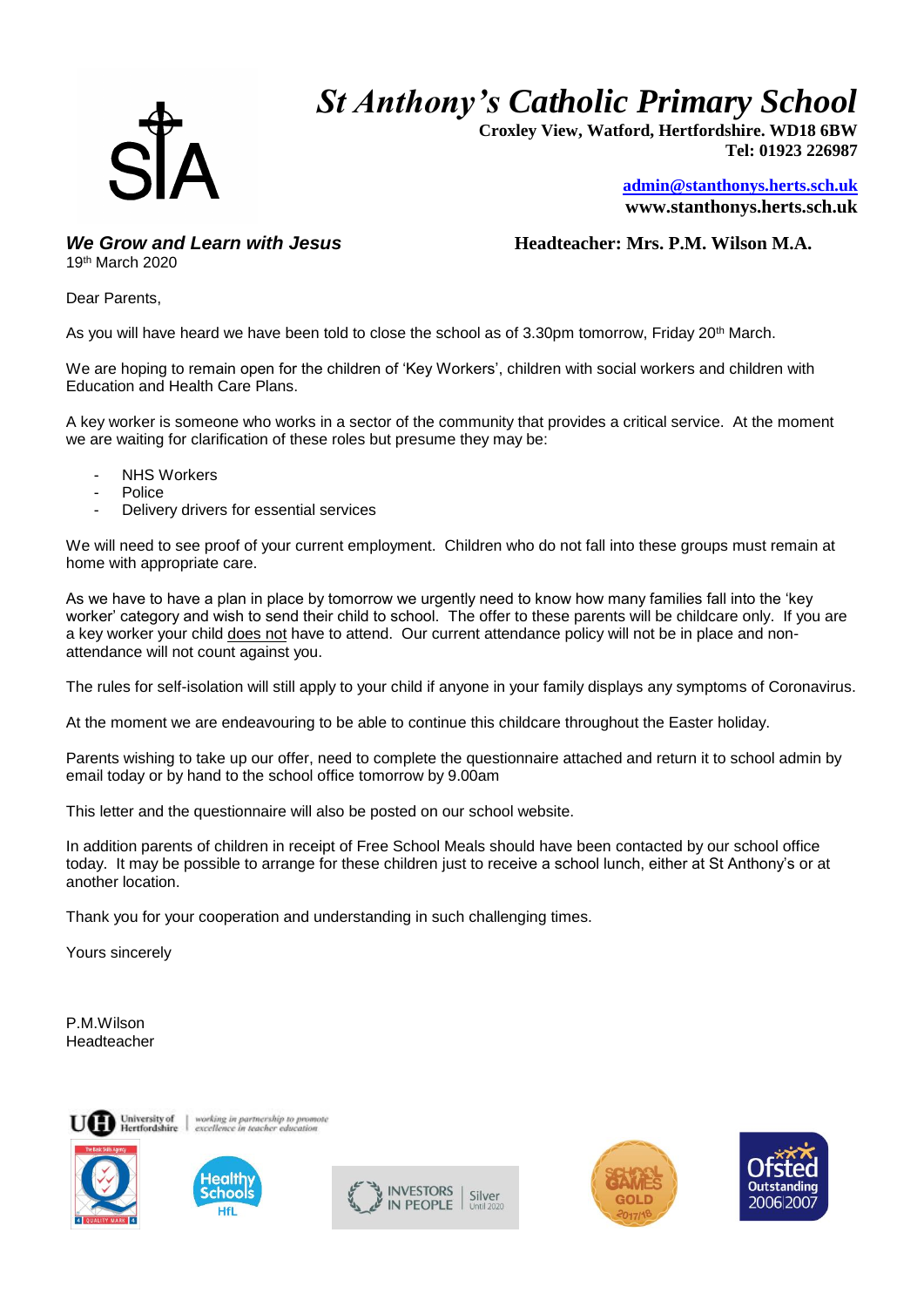*St Anthony's Catholic Primary School*



 **Croxley View, Watford, Hertfordshire. WD18 6BW Tel: 01923 226987** 

> **[admin@stanthonys.herts.sch.uk](mailto:admin.stanthonys@thegrid.org.uk) www.stanthonys.herts.sch.uk**

19th March 2020

*We Grow and Learn with Jesus* **<b>***Headteacher: Mrs. P.M. Wilson M.A.* 

Dear Parents,

As you will have heard we have been told to close the school as of 3.30pm tomorrow, Friday 20<sup>th</sup> March.

We are hoping to remain open for the children of 'Key Workers', children with social workers and children with Education and Health Care Plans.

A key worker is someone who works in a sector of the community that provides a critical service. At the moment we are waiting for clarification of these roles but presume they may be:

- **NHS Workers**
- **Police**
- Delivery drivers for essential services

We will need to see proof of your current employment. Children who do not fall into these groups must remain at home with appropriate care.

As we have to have a plan in place by tomorrow we urgently need to know how many families fall into the 'key worker' category and wish to send their child to school. The offer to these parents will be childcare only. If you are a key worker your child does not have to attend. Our current attendance policy will not be in place and nonattendance will not count against you.

The rules for self-isolation will still apply to your child if anyone in your family displays any symptoms of Coronavirus.

At the moment we are endeavouring to be able to continue this childcare throughout the Easter holiday.

Parents wishing to take up our offer, need to complete the questionnaire attached and return it to school admin by email today or by hand to the school office tomorrow by 9.00am

This letter and the questionnaire will also be posted on our school website.

In addition parents of children in receipt of Free School Meals should have been contacted by our school office today. It may be possible to arrange for these children just to receive a school lunch, either at St Anthony's or at another location.

Thank you for your cooperation and understanding in such challenging times.

Yours sincerely

P.M.Wilson Headteacher





working in partnership to prom<br>excellence in teacher education